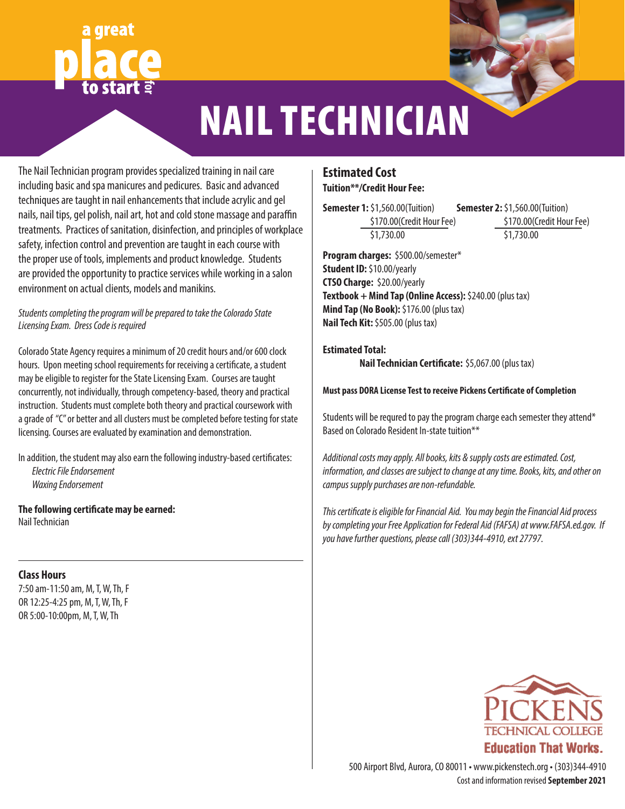# **for**



# NAIL TECHNICIAN

The Nail Technician program provides specialized training in nail care including basic and spa manicures and pedicures. Basic and advanced techniques are taught in nail enhancements that include acrylic and gel nails, nail tips, gel polish, nail art, hot and cold stone massage and paraffin treatments. Practices of sanitation, disinfection, and principles of workplace safety, infection control and prevention are taught in each course with the proper use of tools, implements and product knowledge. Students are provided the opportunity to practice services while working in a salon environment on actual clients, models and manikins.

# *Students completing the program will be prepared to take the Colorado State Licensing Exam. Dress Code is required*

Colorado State Agency requires a minimum of 20 credit hours and/or 600 clock hours. Upon meeting school requirements for receiving a certificate, a student may be eligible to register for the State Licensing Exam. Courses are taught concurrently, not individually, through competency-based, theory and practical instruction. Students must complete both theory and practical coursework with a grade of "C" or better and all clusters must be completed before testing for state licensing. Courses are evaluated by examination and demonstration.

In addition, the student may also earn the following industry-based certificates: *Electric File Endorsement Waxing Endorsement*

**The following certificate may be earned:** Nail Technician

# **Class Hours**

7:50 am-11:50 am, M, T, W, Th, F OR 12:25-4:25 pm, M, T, W, Th, F OR 5:00-10:00pm, M, T, W, Th

# **Estimated Cost Tuition\*\*/Credit Hour Fee:**

**Semester 1:** \$1,560.00(Tuition) \$170.00(Credit Hour Fee) \$1,730.00

**Semester 2:** \$1,560.00(Tuition) \$170.00(Credit Hour Fee) \$1,730.00

**Program charges:** \$500.00/semester\* **Student ID:** \$10.00/yearly **CTSO Charge:** \$20.00/yearly **Textbook + Mind Tap (Online Access):** \$240.00 (plus tax) **Mind Tap (No Book):** \$176.00 (plus tax) **Nail Tech Kit:** \$505.00 (plus tax)

# **Estimated Total:**

**Nail Technician Certificate:** \$5,067.00 (plus tax)

# **Must pass DORA License Test to receive Pickens Certificate of Completion**

Students will be requred to pay the program charge each semester they attend\* Based on Colorado Resident In-state tuition\*\*

*Additional costs may apply. All books, kits & supply costs are estimated. Cost, information, and classes are subject to change at any time. Books, kits, and other on campus supply purchases are non-refundable.*

*This certificate is eligible for Financial Aid. You may begin the Financial Aid process by completing your Free Application for Federal Aid (FAFSA) at www.FAFSA.ed.gov. If you have further questions, please call (303)344-4910, ext 27797.*



Cost and information revised **September 2021** 500 Airport Blvd, Aurora, CO 80011 • www.pickenstech.org • (303)344-4910